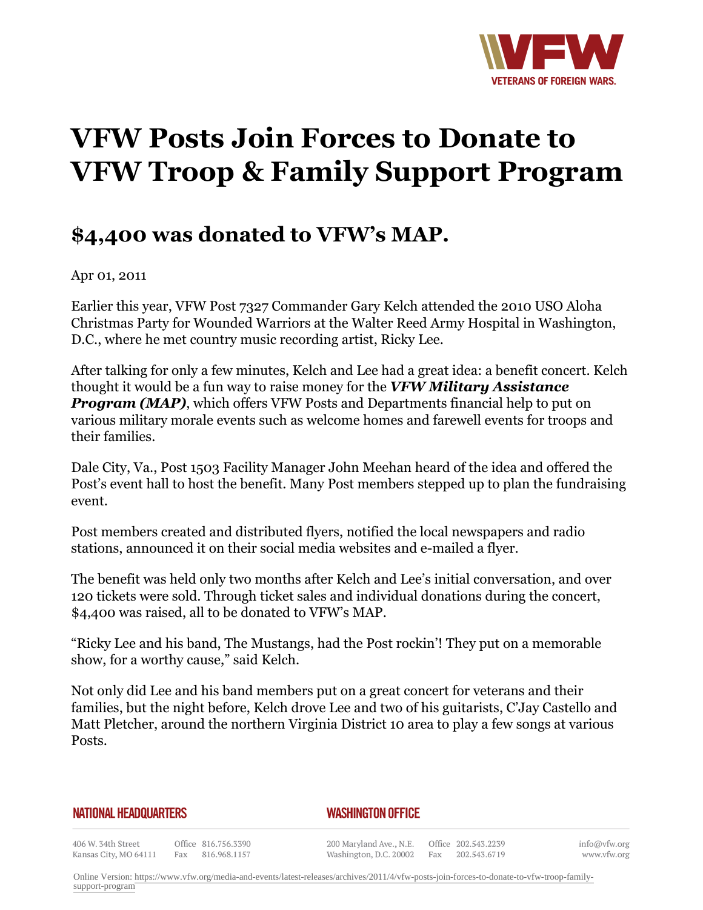

## **VFW Posts Join Forces to Donate to VFW Troop & Family Support Program**

## **\$4,400 was donated to VFW's MAP.**

Apr 01, 2011

Earlier this year, VFW Post 7327 Commander Gary Kelch attended the 2010 USO Aloha Christmas Party for Wounded Warriors at the Walter Reed Army Hospital in Washington, D.C., where he met country music recording artist, Ricky Lee.

After talking for only a few minutes, Kelch and Lee had a great idea: a benefit concert. Kelch thought it would be a fun way to raise money for the *VFW Military Assistance Program (MAP)*, which offers VFW Posts and Departments financial help to put on various military morale events such as welcome homes and farewell events for troops and their families.

Dale City, Va., Post 1503 Facility Manager John Meehan heard of the idea and offered the Post's event hall to host the benefit. Many Post members stepped up to plan the fundraising event.

Post members created and distributed flyers, notified the local newspapers and radio stations, announced it on their social media websites and e-mailed a flyer.

The benefit was held only two months after Kelch and Lee's initial conversation, and over 120 tickets were sold. Through ticket sales and individual donations during the concert, \$4,400 was raised, all to be donated to VFW's MAP.

"Ricky Lee and his band, The Mustangs, had the Post rockin'! They put on a memorable show, for a worthy cause," said Kelch.

Not only did Lee and his band members put on a great concert for veterans and their families, but the night before, Kelch drove Lee and two of his guitarists, C'Jay Castello and Matt Pletcher, around the northern Virginia District 10 area to play a few songs at various Posts.

## **NATIONAL HEADQUARTERS**

## *WASHINGTON OFFICE*

406 W. 34th Street Fax 816.968.1157 Kansas City, MO 64111

Office 816.756.3390

200 Maryland Ave., N.E. Washington, D.C. 20002

Office 202.543.2239 Fax 202.543.6719 info@vfw.org www.vfw.org

Online Version: [https://www.vfw.org/media-and-events/latest-releases/archives/2011/4/vfw-posts-join-forces-to-donate-to-vfw-troop-family](https://www.vfw.org/media-and-events/latest-releases/archives/2011/4/vfw-posts-join-forces-to-donate-to-vfw-troop-family-support-program)[support-program](https://www.vfw.org/media-and-events/latest-releases/archives/2011/4/vfw-posts-join-forces-to-donate-to-vfw-troop-family-support-program)